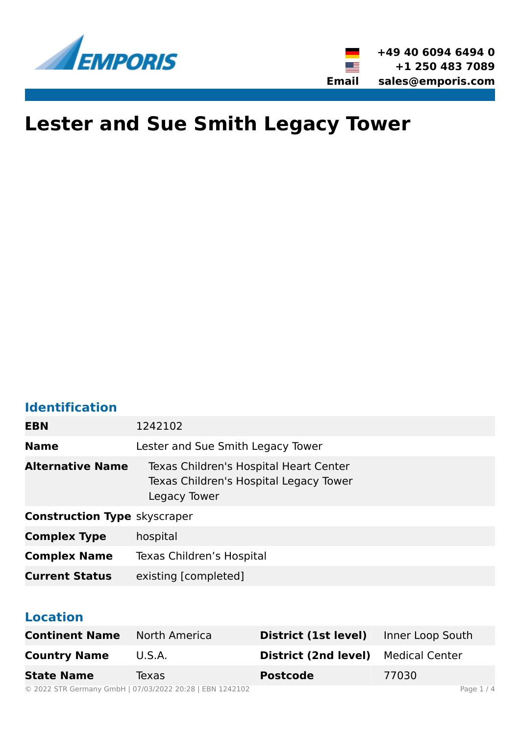

# **Lester and Sue Smith Legacy Tower**

### **Identification**

| <b>EBN</b>                          | 1242102                                                                                          |  |  |
|-------------------------------------|--------------------------------------------------------------------------------------------------|--|--|
| <b>Name</b>                         | Lester and Sue Smith Legacy Tower                                                                |  |  |
| <b>Alternative Name</b>             | Texas Children's Hospital Heart Center<br>Texas Children's Hospital Legacy Tower<br>Legacy Tower |  |  |
| <b>Construction Type skyscraper</b> |                                                                                                  |  |  |
| <b>Complex Type</b>                 | hospital                                                                                         |  |  |
| <b>Complex Name</b>                 | Texas Children's Hospital                                                                        |  |  |
| <b>Current Status</b>               | existing [completed]                                                                             |  |  |

### **Location**

| <b>Continent Name</b> North America |                                                          | District (1st level)                       | Inner Loop South |            |
|-------------------------------------|----------------------------------------------------------|--------------------------------------------|------------------|------------|
| <b>Country Name</b>                 | U.S.A.                                                   | <b>District (2nd level)</b> Medical Center |                  |            |
| <b>State Name</b>                   | Texas                                                    | <b>Postcode</b>                            | 77030            |            |
|                                     | © 2022 STR Germany GmbH   07/03/2022 20:28   EBN 1242102 |                                            |                  | Page $1/4$ |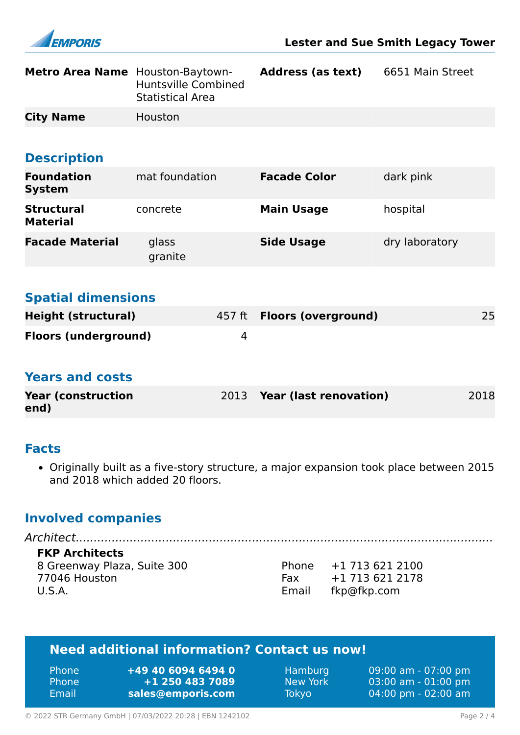

| Metro Area Name Houston-Baytown-     | <b>Huntsville Combined</b><br><b>Statistical Area</b> | <b>Address (as text)</b>      | 6651 Main Street |      |
|--------------------------------------|-------------------------------------------------------|-------------------------------|------------------|------|
| <b>City Name</b>                     | Houston                                               |                               |                  |      |
|                                      |                                                       |                               |                  |      |
| <b>Description</b>                   |                                                       |                               |                  |      |
| <b>Foundation</b><br><b>System</b>   | mat foundation                                        | <b>Facade Color</b>           | dark pink        |      |
| <b>Structural</b><br><b>Material</b> | concrete                                              | <b>Main Usage</b>             | hospital         |      |
| <b>Facade Material</b>               | glass<br>granite                                      | <b>Side Usage</b>             | dry laboratory   |      |
|                                      |                                                       |                               |                  |      |
| <b>Spatial dimensions</b>            |                                                       |                               |                  |      |
| <b>Height (structural)</b>           | 457 ft                                                | <b>Floors (overground)</b>    |                  | 25   |
| <b>Floors (underground)</b>          | 4                                                     |                               |                  |      |
| <b>Years and costs</b>               |                                                       |                               |                  |      |
| <b>Year (construction</b><br>end)    | 2013                                                  | <b>Year (last renovation)</b> |                  | 2018 |

#### **Facts**

• Originally built as a five-story structure, a major expansion took place between 2015 and 2018 which added 20 floors.

### **Involved companies**

*Architect....................................................................................................................* **FKP Architects** 8 Greenway Plaza, Suite 300 77046 Houston U.S.A.

Phone +1 713 621 2100<br>Fax +1 713 621 2178 Fax +1 713 621 2178 Email fkp@fkp.com

### **Need additional information? Contact us now!**

| <b>Phone</b> | +49 40 6094 6494 0 | Hamburg      | $09:00$ am - 07:00 pm                 |
|--------------|--------------------|--------------|---------------------------------------|
| <b>Phone</b> | $+1$ 250 483 7089  | New York     | $03:00$ am - $01:00$ pm               |
| Email        | sales@emporis.com  | <b>Tokyo</b> | $04:00 \text{ pm} - 02:00 \text{ am}$ |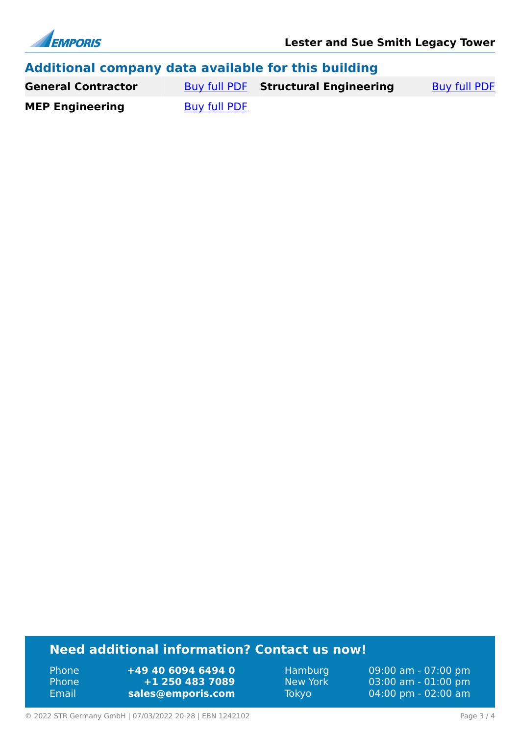

| Additional company data available for this building |              |                                     |                     |  |
|-----------------------------------------------------|--------------|-------------------------------------|---------------------|--|
| <b>General Contractor</b>                           |              | Buy full PDF Structural Engineering | <b>Buy full PDF</b> |  |
| <b>MEP Engineering</b>                              | Buy full PDF |                                     |                     |  |

### **Need additional information? Contact us now!**

Phone **+49 40 6094 6494 0<br>
Phone <b>+1 250 483 7089** Phone **+1 250 483 7089** Email **<sales@emporis.com>**

Hamburg 09:00 am - 07:00 pm<br>New York 03:00 am - 01:00 pm New York 03:00 am - 01:00 pm<br>Tokyo 04:00 pm - 02:00 am 04:00 pm - 02:00 am